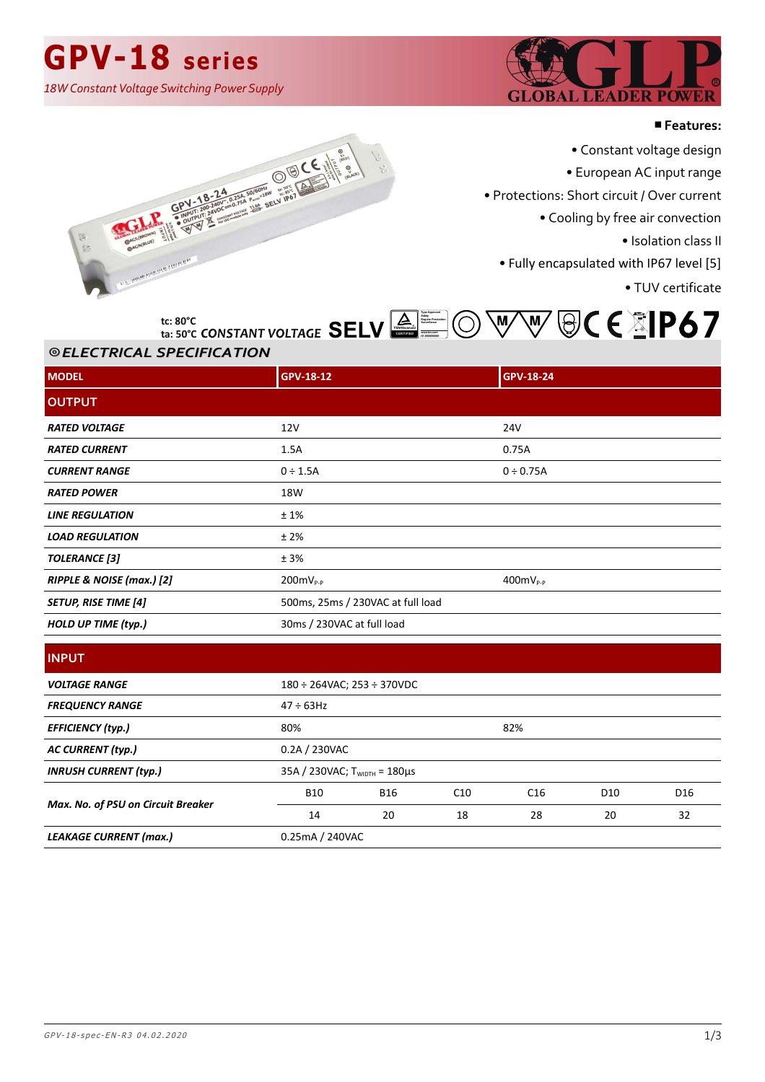## **GPV-18 series**

*18W Constant Voltage Switching Power Supply*



#### ■**Features:**

• Constant voltage design

• European AC input range

• Protections: Short circuit / Over current

• Cooling by free air convection

• Isolation class II

• Fully encapsulated with IP67 level [5]

• TUV certificate





### ⦾ *ELECTRICAL SPECIFICATION ELECTRICAL SPECIFICATION*

**ta: 50°C**

| <b>MODEL</b>                | GPV-18-12                         | GPV-18-24      |  |
|-----------------------------|-----------------------------------|----------------|--|
| <b>OUTPUT</b>               |                                   |                |  |
| <b>RATED VOLTAGE</b>        | 12V                               | <b>24V</b>     |  |
| <b>RATED CURRENT</b>        | 1.5A                              | 0.75A          |  |
| <b>CURRENT RANGE</b>        | $0 \div 1.5A$                     | $0 \div 0.75A$ |  |
| <b>RATED POWER</b>          | 18W                               |                |  |
| <b>LINE REGULATION</b>      | ±1%                               |                |  |
| <b>LOAD REGULATION</b>      | ±2%                               |                |  |
| <b>TOLERANCE</b> [3]        | ± 3%                              |                |  |
| RIPPLE & NOISE (max.) [2]   | $200mV_{P-P}$                     | $400mV_{P-P}$  |  |
| <b>SETUP, RISE TIME [4]</b> | 500ms, 25ms / 230VAC at full load |                |  |
| <b>HOLD UP TIME (typ.)</b>  | 30ms / 230VAC at full load        |                |  |

| <b>INPUT</b> |  |
|--------------|--|
|              |  |

| <b>VOLTAGE RANGE</b>               |                                       | $180 \div 264$ VAC; $253 \div 370$ VDC |     |     |                 |                 |
|------------------------------------|---------------------------------------|----------------------------------------|-----|-----|-----------------|-----------------|
| <b>FREQUENCY RANGE</b>             | $47 \div 63$ Hz                       |                                        |     |     |                 |                 |
| <b>EFFICIENCY (typ.)</b>           | 80%                                   | 82%                                    |     |     |                 |                 |
| <b>AC CURRENT (typ.)</b>           |                                       | 0.2A / 230VAC                          |     |     |                 |                 |
| <b>INRUSH CURRENT (typ.)</b>       | 35A / 230VAC; $T_{WIDTH} = 180 \mu s$ |                                        |     |     |                 |                 |
|                                    | <b>B10</b>                            | <b>B16</b>                             | C10 | C16 | D <sub>10</sub> | D <sub>16</sub> |
| Max. No. of PSU on Circuit Breaker | 14                                    | 20                                     | 18  | 28  | 20              | 32              |
| <b>LEAKAGE CURRENT (max.)</b>      | 0.25mA / 240VAC                       |                                        |     |     |                 |                 |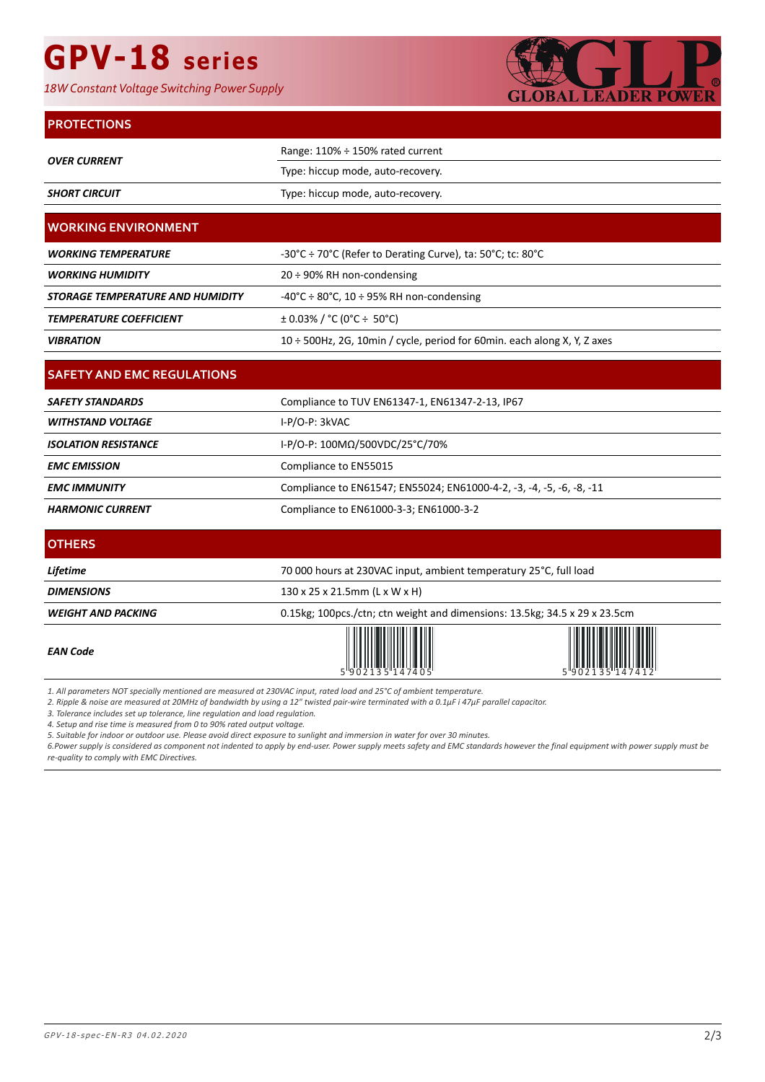# **GPV-18 series**

*18W Constant Voltage Switching Power Supply*



#### **PROTECTIONS**

| <b>OVER CURRENT</b>                     | Range: 110% ÷ 150% rated current                                           |  |  |
|-----------------------------------------|----------------------------------------------------------------------------|--|--|
|                                         | Type: hiccup mode, auto-recovery.                                          |  |  |
| <b>SHORT CIRCUIT</b>                    | Type: hiccup mode, auto-recovery.                                          |  |  |
| <b>WORKING ENVIRONMENT</b>              |                                                                            |  |  |
|                                         |                                                                            |  |  |
| <b>WORKING TEMPERATURE</b>              | -30°C ÷ 70°C (Refer to Derating Curve), ta: 50°C; tc: 80°C                 |  |  |
| <b>WORKING HUMIDITY</b>                 | 20 ÷ 90% RH non-condensing                                                 |  |  |
| <b>STORAGE TEMPERATURE AND HUMIDITY</b> | -40°C $\div$ 80°C, 10 $\div$ 95% RH non-condensing                         |  |  |
| <b>TEMPERATURE COEFFICIENT</b>          | $\pm$ 0.03% / °C (0°C ÷ 50°C)                                              |  |  |
| <b>VIBRATION</b>                        | 10 ÷ 500Hz, 2G, 10min / cycle, period for 60min. each along X, Y, Z axes   |  |  |
|                                         |                                                                            |  |  |
| <b>SAFETY AND EMC REGULATIONS</b>       |                                                                            |  |  |
| <b>SAFETY STANDARDS</b>                 | Compliance to TUV EN61347-1, EN61347-2-13, IP67                            |  |  |
| <b>WITHSTAND VOLTAGE</b>                | I-P/O-P: 3kVAC                                                             |  |  |
| <b>ISOLATION RESISTANCE</b>             | I-P/O-P: 100ΜΩ/500VDC/25°C/70%                                             |  |  |
| <b>EMC EMISSION</b>                     | Compliance to EN55015                                                      |  |  |
| <b>EMC IMMUNITY</b>                     | Compliance to EN61547; EN55024; EN61000-4-2, -3, -4, -5, -6, -8, -11       |  |  |
| <b>HARMONIC CURRENT</b>                 | Compliance to EN61000-3-3; EN61000-3-2                                     |  |  |
| <b>OTHERS</b>                           |                                                                            |  |  |
| Lifetime                                | 70 000 hours at 230VAC input, ambient temperatury 25°C, full load          |  |  |
| <b>DIMENSIONS</b>                       |                                                                            |  |  |
|                                         | 130 x 25 x 21.5mm (L x W x H)                                              |  |  |
| <b>WEIGHT AND PACKING</b>               | 0.15kg; 100pcs./ctn; ctn weight and dimensions: 13.5kg; 34.5 x 29 x 23.5cm |  |  |
| <b>EAN Code</b>                         |                                                                            |  |  |

*1. All parameters NOT specially mentioned are measured at 230VAC input, rated load and 25°C of ambient temperature.*

2. Ripple & noise are measured at 20MHz of bandwidth by using a 12" twisted pair-wire terminated with a 0.1μF i 47μF parallel capacitor.

*3. Tolerance includes set up tolerance, line regulation and load regulation.*

*4. Setup and rise time is measured from 0 to 90% rated output voltage.*

*5. Suitable for indoor or outdoor use. Please avoid direct exposure to sunlight and immersion in water for over 30 minutes.*

*6.Power supply is considered as component not indented to apply by end-user. Power supply meets safety and EMC standards however the final equipment with power supply must be re-quality to comply with EMC Directives.*